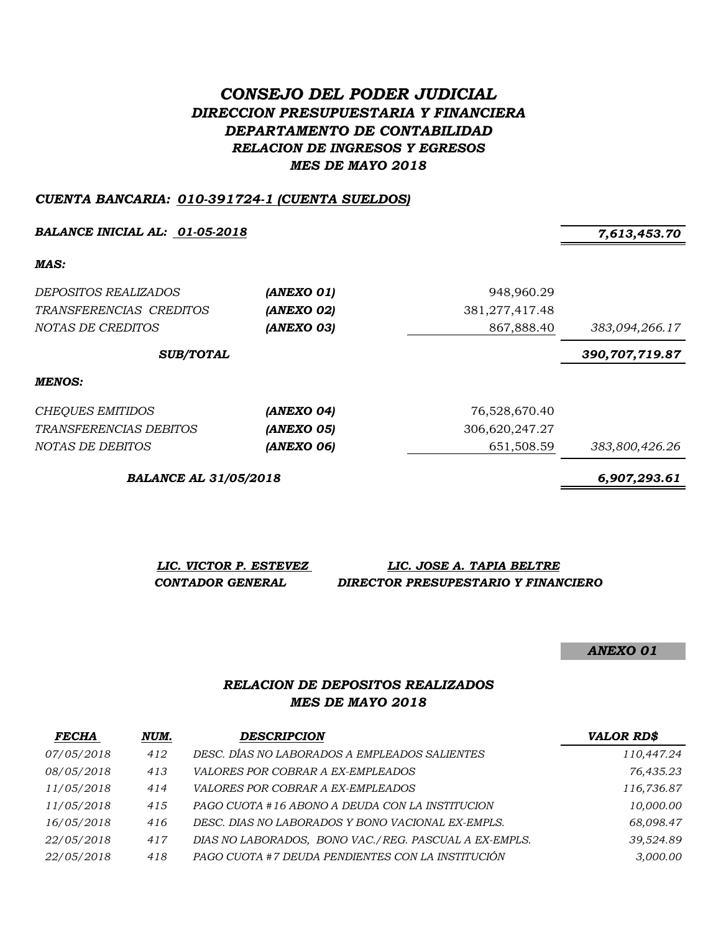# *CONSEJO DEL PODER JUDICIAL DIRECCION PRESUPUESTARIA Y FINANCIERA DEPARTAMENTO DE CONTABILIDAD RELACION DE INGRESOS Y EGRESOS MES DE MAYO 2018*

#### *CUENTA BANCARIA: 010-391724-1 (CUENTA SUELDOS)*

*BALANCE INICIAL AL: 01-05-2018 7,613,453.70*

*MAS:*

| DEPOSITOS REALIZADOS<br>TRANSFERENCIAS CREDITOS | (ANEXO 01)<br>(ANEXO 02) | 948,960.29<br>381,277,417.48 |                |
|-------------------------------------------------|--------------------------|------------------------------|----------------|
| NOTAS DE CREDITOS                               | (ANEXO 03)               | 867,888.40                   | 383,094,266.17 |
| <b>SUB/TOTAL</b>                                |                          |                              | 390,707,719.87 |
| MENOS:                                          |                          |                              |                |

| CHEQUES EMITIDOS              | (ANEXO 04) | 76.528.670.40  |                |
|-------------------------------|------------|----------------|----------------|
| <i>TRANSFERENCIAS DEBITOS</i> | (ANEXO 05) | 306.620.247.27 |                |
| <i>NOTAS DE DEBITOS</i>       | (ANEXO 06) | 651.508.59     | 383,800,426.26 |

*BALANCE AL 31/05/2018 6,907,293.61*

*LIC. VICTOR P. ESTEVEZ LIC. JOSE A. TAPIA BELTRE CONTADOR GENERAL DIRECTOR PRESUPESTARIO Y FINANCIERO*

*ANEXO 01*

### *RELACION DE DEPOSITOS REALIZADOS MES DE MAYO 2018*

| <b>FECHA</b> | NUM. | <b>DESCRIPCION</b>                                    | <b>VALOR RD\$</b> |
|--------------|------|-------------------------------------------------------|-------------------|
| 07/05/2018   | 412  | DESC. DÍAS NO LABORADOS A EMPLEADOS SALIENTES         | 110,447.24        |
| 08/05/2018   | 413  | <i>VALORES POR COBRAR A EX-EMPLEADOS</i>              | 76,435.23         |
| 11/05/2018   | 414  | VALORES POR COBRAR A EX-EMPLEADOS                     | 116,736.87        |
| 11/05/2018   | 415  | PAGO CUOTA #16 ABONO A DEUDA CON LA INSTITUCION       | 10,000.00         |
| 16/05/2018   | 416  | DESC. DIAS NO LABORADOS Y BONO VACIONAL EX-EMPLS.     | 68,098.47         |
| 22/05/2018   | 417  | DIAS NO LABORADOS, BONO VAC./REG. PASCUAL A EX-EMPLS. | 39,524.89         |
| 22/05/2018   | 418  | PAGO CUOTA #7 DEUDA PENDIENTES CON LA INSTITUCIÓN     | 3,000.00          |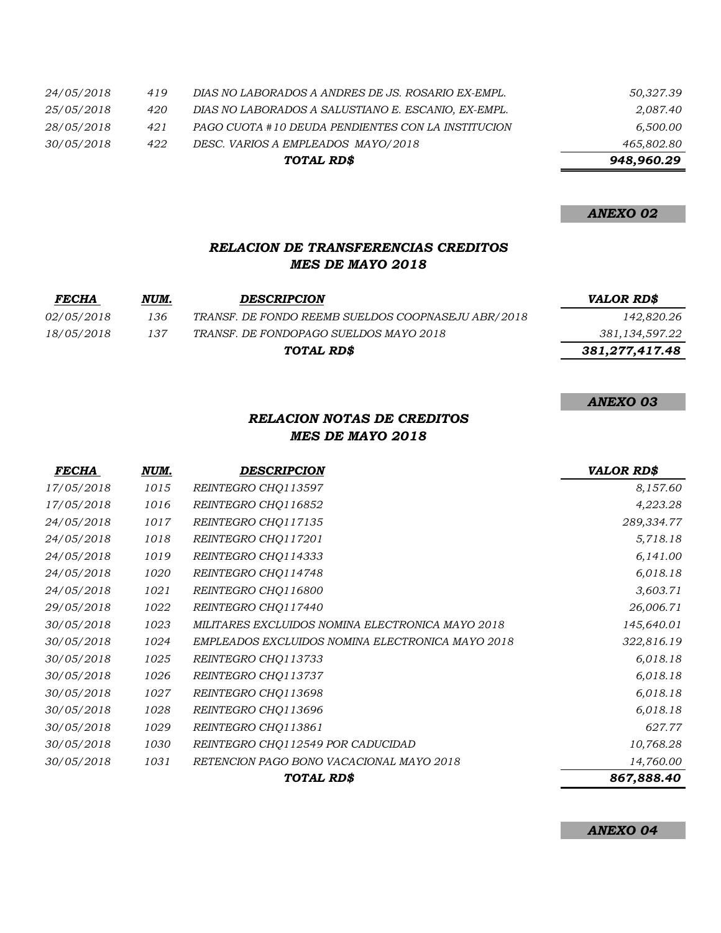|            |     | TOTAL RD\$                                          | 948,960.29 |
|------------|-----|-----------------------------------------------------|------------|
| 30/05/2018 | 422 | DESC. VARIOS A EMPLEADOS MAYO/2018                  | 465,802.80 |
| 28/05/2018 | 421 | PAGO CUOTA #10 DEUDA PENDIENTES CON LA INSTITUCION  | 6,500.00   |
| 25/05/2018 | 420 | DIAS NO LABORADOS A SALUSTIANO E. ESCANIO, EX-EMPL. | 2,087.40   |
| 24/05/2018 | 419 | DIAS NO LABORADOS A ANDRES DE JS. ROSARIO EX-EMPL.  | 50,327.39  |

*ANEXO 02*

### *RELACION DE TRANSFERENCIAS CREDITOS MES DE MAYO 2018*

| <b>FECHA</b>      | NUM. | <b>DESCRIPCION</b>                                 | <b>VALOR RD\$</b> |
|-------------------|------|----------------------------------------------------|-------------------|
| <i>02/05/2018</i> | 136  | TRANSF. DE FONDO REEMB SUELDOS COOPNASEJU ABR/2018 | 142,820.26        |
| 18/05/2018        | 137  | TRANSF. DE FONDOPAGO SUELDOS MAYO 2018             | 381,134,597.22    |
|                   |      | TOTAL RD\$                                         | 381,277,417.48    |

*ANEXO 03*

## *RELACION NOTAS DE CREDITOS MES DE MAYO 2018*

| <b>FECHA</b> | NUM. | <b>DESCRIPCION</b>                               | <b>VALOR RD\$</b> |
|--------------|------|--------------------------------------------------|-------------------|
| 17/05/2018   | 1015 | REINTEGRO CHQ113597                              | 8,157.60          |
| 17/05/2018   | 1016 | REINTEGRO CHQ116852                              | 4,223.28          |
| 24/05/2018   | 1017 | REINTEGRO CHQ117135                              | 289,334.77        |
| 24/05/2018   | 1018 | REINTEGRO CHQ117201                              | 5,718.18          |
| 24/05/2018   | 1019 | REINTEGRO CHQ114333                              | 6,141.00          |
| 24/05/2018   | 1020 | REINTEGRO CHQ114748                              | 6,018.18          |
| 24/05/2018   | 1021 | REINTEGRO CHQ116800                              | 3,603.71          |
| 29/05/2018   | 1022 | REINTEGRO CHQ117440                              | 26,006.71         |
| 30/05/2018   | 1023 | MILITARES EXCLUIDOS NOMINA ELECTRONICA MAYO 2018 | 145,640.01        |
| 30/05/2018   | 1024 | EMPLEADOS EXCLUIDOS NOMINA ELECTRONICA MAYO 2018 | 322,816.19        |
| 30/05/2018   | 1025 | REINTEGRO CHQ113733                              | 6,018.18          |
| 30/05/2018   | 1026 | REINTEGRO CHQ113737                              | 6,018.18          |
| 30/05/2018   | 1027 | REINTEGRO CHQ113698                              | 6,018.18          |
| 30/05/2018   | 1028 | REINTEGRO CHQ113696                              | 6,018.18          |
| 30/05/2018   | 1029 | REINTEGRO CHQ113861                              | 627.77            |
| 30/05/2018   | 1030 | REINTEGRO CHQ112549 POR CADUCIDAD                | 10,768.28         |
| 30/05/2018   | 1031 | RETENCION PAGO BONO VACACIONAL MAYO 2018         | 14,760.00         |
|              |      | TOTAL RD\$                                       | 867,888.40        |

*ANEXO 04*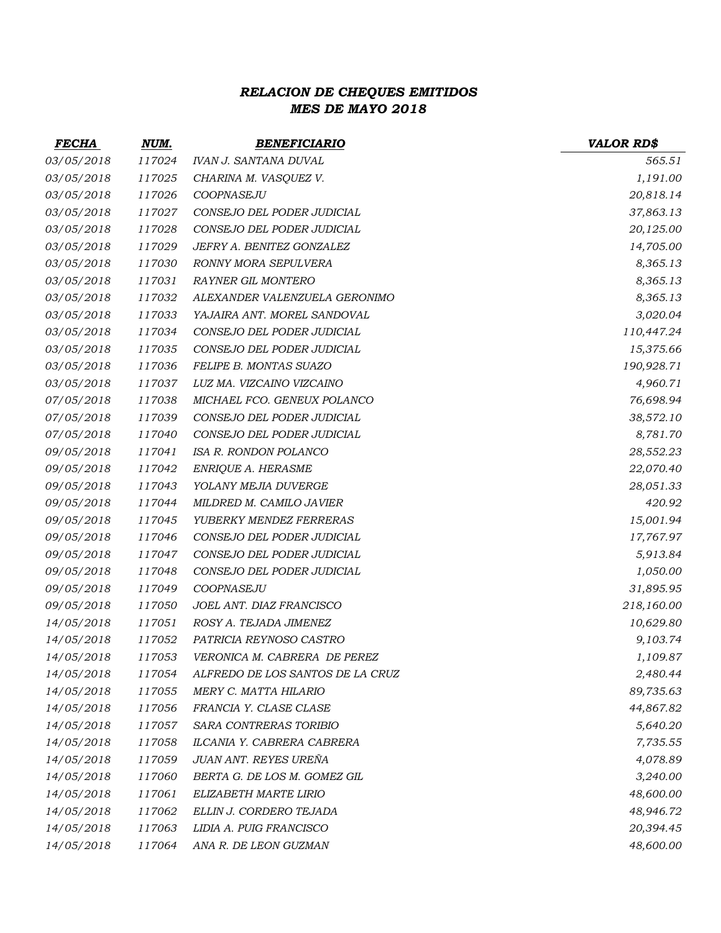# *RELACION DE CHEQUES EMITIDOS MES DE MAYO 2018*

| <b>FECHA</b> | NUM.   | <b>BENEFICIARIO</b>              | <b>VALOR RD\$</b> |
|--------------|--------|----------------------------------|-------------------|
| 03/05/2018   | 117024 | <b>IVAN J. SANTANA DUVAL</b>     | 565.51            |
| 03/05/2018   | 117025 | CHARINA M. VASQUEZ V.            | 1,191.00          |
| 03/05/2018   | 117026 | COOPNASEJU                       | 20,818.14         |
| 03/05/2018   | 117027 | CONSEJO DEL PODER JUDICIAL       | 37,863.13         |
| 03/05/2018   | 117028 | CONSEJO DEL PODER JUDICIAL       | 20,125.00         |
| 03/05/2018   | 117029 | JEFRY A. BENITEZ GONZALEZ        | 14,705.00         |
| 03/05/2018   | 117030 | RONNY MORA SEPULVERA             | 8,365.13          |
| 03/05/2018   | 117031 | <b>RAYNER GIL MONTERO</b>        | 8,365.13          |
| 03/05/2018   | 117032 | ALEXANDER VALENZUELA GERONIMO    | 8,365.13          |
| 03/05/2018   | 117033 | YAJAIRA ANT. MOREL SANDOVAL      | 3,020.04          |
| 03/05/2018   | 117034 | CONSEJO DEL PODER JUDICIAL       | 110,447.24        |
| 03/05/2018   | 117035 | CONSEJO DEL PODER JUDICIAL       | 15,375.66         |
| 03/05/2018   | 117036 | FELIPE B. MONTAS SUAZO           | 190,928.71        |
| 03/05/2018   | 117037 | LUZ MA. VIZCAINO VIZCAINO        | 4,960.71          |
| 07/05/2018   | 117038 | MICHAEL FCO. GENEUX POLANCO      | 76,698.94         |
| 07/05/2018   | 117039 | CONSEJO DEL PODER JUDICIAL       | 38,572.10         |
| 07/05/2018   | 117040 | CONSEJO DEL PODER JUDICIAL       | 8,781.70          |
| 09/05/2018   | 117041 | ISA R. RONDON POLANCO            | 28,552.23         |
| 09/05/2018   | 117042 | ENRIQUE A. HERASME               | 22,070.40         |
| 09/05/2018   | 117043 | YOLANY MEJIA DUVERGE             | 28,051.33         |
| 09/05/2018   | 117044 | MILDRED M. CAMILO JAVIER         | 420.92            |
| 09/05/2018   | 117045 | YUBERKY MENDEZ FERRERAS          | 15,001.94         |
| 09/05/2018   | 117046 | CONSEJO DEL PODER JUDICIAL       | 17,767.97         |
| 09/05/2018   | 117047 | CONSEJO DEL PODER JUDICIAL       | 5,913.84          |
| 09/05/2018   | 117048 | CONSEJO DEL PODER JUDICIAL       | 1,050.00          |
| 09/05/2018   | 117049 | COOPNASEJU                       | 31,895.95         |
| 09/05/2018   | 117050 | JOEL ANT. DIAZ FRANCISCO         | 218,160.00        |
| 14/05/2018   | 117051 | ROSY A. TEJADA JIMENEZ           | 10,629.80         |
| 14/05/2018   | 117052 | PATRICIA REYNOSO CASTRO          | 9,103.74          |
| 14/05/2018   | 117053 | VERONICA M. CABRERA DE PEREZ     | 1,109.87          |
| 14/05/2018   | 117054 | ALFREDO DE LOS SANTOS DE LA CRUZ | 2,480.44          |
| 14/05/2018   | 117055 | MERY C. MATTA HILARIO            | 89,735.63         |
| 14/05/2018   | 117056 | FRANCIA Y. CLASE CLASE           | 44,867.82         |
| 14/05/2018   | 117057 | SARA CONTRERAS TORIBIO           | 5,640.20          |
| 14/05/2018   | 117058 | ILCANIA Y. CABRERA CABRERA       | 7,735.55          |
| 14/05/2018   | 117059 | JUAN ANT. REYES UREÑA            | 4,078.89          |
| 14/05/2018   | 117060 | BERTA G. DE LOS M. GOMEZ GIL     | 3,240.00          |
| 14/05/2018   | 117061 | ELIZABETH MARTE LIRIO            | 48,600.00         |
| 14/05/2018   | 117062 | ELLIN J. CORDERO TEJADA          | 48,946.72         |
| 14/05/2018   | 117063 | LIDIA A. PUIG FRANCISCO          | 20,394.45         |
| 14/05/2018   | 117064 | ANA R. DE LEON GUZMAN            | 48,600.00         |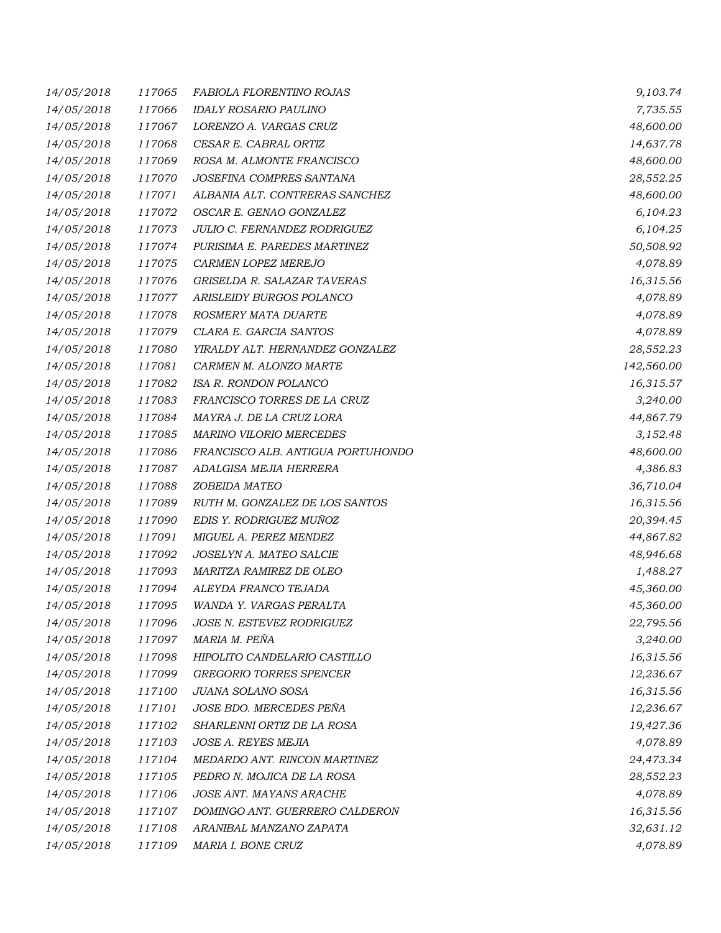| 14/05/2018 | 117065 | FABIOLA FLORENTINO ROJAS          | 9,103.74   |
|------------|--------|-----------------------------------|------------|
| 14/05/2018 | 117066 | <b>IDALY ROSARIO PAULINO</b>      | 7,735.55   |
| 14/05/2018 | 117067 | LORENZO A. VARGAS CRUZ            | 48,600.00  |
| 14/05/2018 | 117068 | CESAR E. CABRAL ORTIZ             | 14,637.78  |
| 14/05/2018 | 117069 | ROSA M. ALMONTE FRANCISCO         | 48,600.00  |
| 14/05/2018 | 117070 | JOSEFINA COMPRES SANTANA          | 28,552.25  |
| 14/05/2018 | 117071 | ALBANIA ALT. CONTRERAS SANCHEZ    | 48,600.00  |
| 14/05/2018 | 117072 | OSCAR E. GENAO GONZALEZ           | 6,104.23   |
| 14/05/2018 | 117073 | JULIO C. FERNANDEZ RODRIGUEZ      | 6,104.25   |
| 14/05/2018 | 117074 | PURISIMA E. PAREDES MARTINEZ      | 50,508.92  |
| 14/05/2018 | 117075 | CARMEN LOPEZ MEREJO               | 4,078.89   |
| 14/05/2018 | 117076 | GRISELDA R. SALAZAR TAVERAS       | 16,315.56  |
| 14/05/2018 | 117077 | ARISLEIDY BURGOS POLANCO          | 4,078.89   |
| 14/05/2018 | 117078 | ROSMERY MATA DUARTE               | 4,078.89   |
| 14/05/2018 | 117079 | CLARA E. GARCIA SANTOS            | 4,078.89   |
| 14/05/2018 | 117080 | YIRALDY ALT. HERNANDEZ GONZALEZ   | 28,552.23  |
| 14/05/2018 | 117081 | CARMEN M. ALONZO MARTE            | 142,560.00 |
| 14/05/2018 | 117082 | ISA R. RONDON POLANCO             | 16,315.57  |
| 14/05/2018 | 117083 | FRANCISCO TORRES DE LA CRUZ       | 3,240.00   |
| 14/05/2018 | 117084 | MAYRA J. DE LA CRUZ LORA          | 44,867.79  |
| 14/05/2018 | 117085 | <b>MARINO VILORIO MERCEDES</b>    | 3,152.48   |
| 14/05/2018 | 117086 | FRANCISCO ALB. ANTIGUA PORTUHONDO | 48,600.00  |
| 14/05/2018 | 117087 | ADALGISA MEJIA HERRERA            | 4,386.83   |
| 14/05/2018 | 117088 | ZOBEIDA MATEO                     | 36,710.04  |
| 14/05/2018 | 117089 | RUTH M. GONZALEZ DE LOS SANTOS    | 16,315.56  |
| 14/05/2018 | 117090 | EDIS Y. RODRIGUEZ MUÑOZ           | 20,394.45  |
| 14/05/2018 | 117091 | MIGUEL A. PEREZ MENDEZ            | 44,867.82  |
| 14/05/2018 | 117092 | JOSELYN A. MATEO SALCIE           | 48,946.68  |
| 14/05/2018 | 117093 | MARITZA RAMIREZ DE OLEO           | 1,488.27   |
| 14/05/2018 | 117094 | ALEYDA FRANCO TEJADA              | 45,360.00  |
| 14/05/2018 | 117095 | WANDA Y. VARGAS PERALTA           | 45,360.00  |
| 14/05/2018 | 117096 | JOSE N. ESTEVEZ RODRIGUEZ         | 22,795.56  |
| 14/05/2018 | 117097 | MARIA M. PEÑA                     | 3,240.00   |
| 14/05/2018 | 117098 | HIPOLITO CANDELARIO CASTILLO      | 16,315.56  |
| 14/05/2018 | 117099 | <b>GREGORIO TORRES SPENCER</b>    | 12,236.67  |
| 14/05/2018 | 117100 | JUANA SOLANO SOSA                 | 16,315.56  |
| 14/05/2018 | 117101 | JOSE BDO. MERCEDES PEÑA           | 12,236.67  |
| 14/05/2018 | 117102 | SHARLENNI ORTIZ DE LA ROSA        | 19,427.36  |
| 14/05/2018 | 117103 | JOSE A. REYES MEJIA               | 4,078.89   |
| 14/05/2018 | 117104 | MEDARDO ANT. RINCON MARTINEZ      | 24,473.34  |
| 14/05/2018 | 117105 | PEDRO N. MOJICA DE LA ROSA        | 28,552.23  |
| 14/05/2018 | 117106 | JOSE ANT. MAYANS ARACHE           | 4,078.89   |
| 14/05/2018 | 117107 | DOMINGO ANT. GUERRERO CALDERON    | 16,315.56  |
| 14/05/2018 | 117108 | ARANIBAL MANZANO ZAPATA           | 32,631.12  |
| 14/05/2018 | 117109 | MARIA I. BONE CRUZ                | 4,078.89   |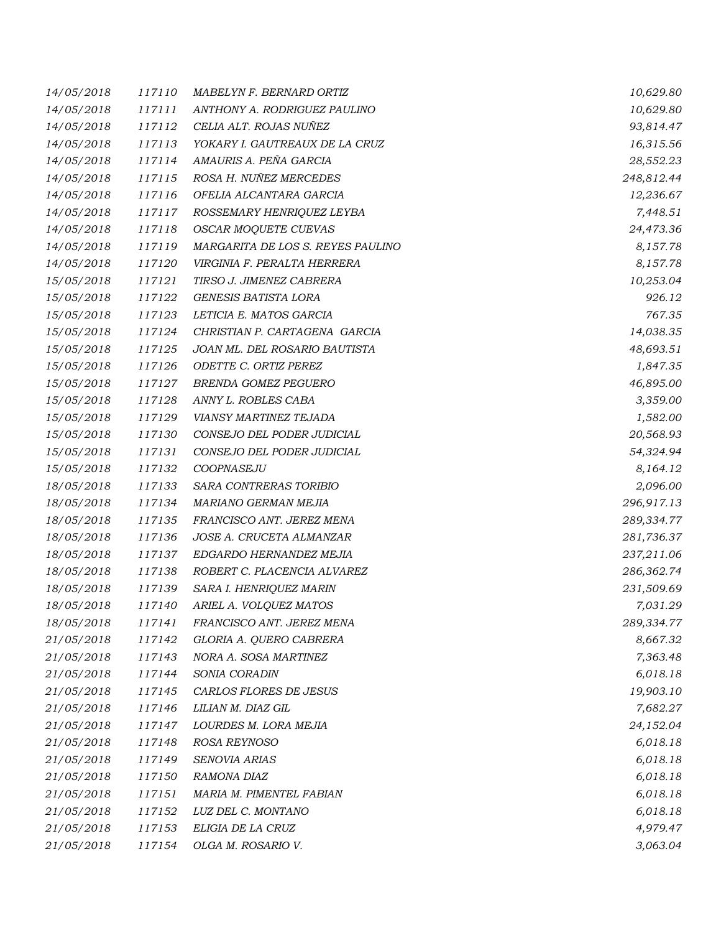| 14/05/2018 | 117110 | MABELYN F. BERNARD ORTIZ          | 10,629.80  |
|------------|--------|-----------------------------------|------------|
| 14/05/2018 | 117111 | ANTHONY A. RODRIGUEZ PAULINO      | 10,629.80  |
| 14/05/2018 | 117112 | CELIA ALT. ROJAS NUÑEZ            | 93,814.47  |
| 14/05/2018 | 117113 | YOKARY I. GAUTREAUX DE LA CRUZ    | 16,315.56  |
| 14/05/2018 | 117114 | AMAURIS A. PEÑA GARCIA            | 28,552.23  |
| 14/05/2018 | 117115 | ROSA H. NUÑEZ MERCEDES            | 248,812.44 |
| 14/05/2018 | 117116 | OFELIA ALCANTARA GARCIA           | 12,236.67  |
| 14/05/2018 | 117117 | ROSSEMARY HENRIQUEZ LEYBA         | 7,448.51   |
| 14/05/2018 | 117118 | OSCAR MOQUETE CUEVAS              | 24,473.36  |
| 14/05/2018 | 117119 | MARGARITA DE LOS S. REYES PAULINO | 8,157.78   |
| 14/05/2018 | 117120 | VIRGINIA F. PERALTA HERRERA       | 8,157.78   |
| 15/05/2018 | 117121 | TIRSO J. JIMENEZ CABRERA          | 10,253.04  |
| 15/05/2018 | 117122 | <b>GENESIS BATISTA LORA</b>       | 926.12     |
| 15/05/2018 | 117123 | LETICIA E. MATOS GARCIA           | 767.35     |
| 15/05/2018 | 117124 | CHRISTIAN P. CARTAGENA GARCIA     | 14,038.35  |
| 15/05/2018 | 117125 | JOAN ML. DEL ROSARIO BAUTISTA     | 48,693.51  |
| 15/05/2018 | 117126 | ODETTE C. ORTIZ PEREZ             | 1,847.35   |
| 15/05/2018 | 117127 | <b>BRENDA GOMEZ PEGUERO</b>       | 46,895.00  |
| 15/05/2018 | 117128 | ANNY L. ROBLES CABA               | 3,359.00   |
| 15/05/2018 | 117129 | <b>VIANSY MARTINEZ TEJADA</b>     | 1,582.00   |
| 15/05/2018 | 117130 | CONSEJO DEL PODER JUDICIAL        | 20,568.93  |
| 15/05/2018 | 117131 | CONSEJO DEL PODER JUDICIAL        | 54,324.94  |
| 15/05/2018 | 117132 | COOPNASEJU                        | 8,164.12   |
| 18/05/2018 | 117133 | SARA CONTRERAS TORIBIO            | 2,096.00   |
| 18/05/2018 | 117134 | MARIANO GERMAN MEJIA              | 296,917.13 |
| 18/05/2018 | 117135 | FRANCISCO ANT. JEREZ MENA         | 289,334.77 |
| 18/05/2018 | 117136 | JOSE A. CRUCETA ALMANZAR          | 281,736.37 |
| 18/05/2018 | 117137 | EDGARDO HERNANDEZ MEJIA           | 237,211.06 |
| 18/05/2018 | 117138 | ROBERT C. PLACENCIA ALVAREZ       | 286,362.74 |
| 18/05/2018 | 117139 | SARA I. HENRIQUEZ MARIN           | 231,509.69 |
| 18/05/2018 | 117140 | ARIEL A. VOLQUEZ MATOS            | 7,031.29   |
| 18/05/2018 | 117141 | FRANCISCO ANT. JEREZ MENA         | 289,334.77 |
| 21/05/2018 | 117142 | GLORIA A. QUERO CABRERA           | 8,667.32   |
| 21/05/2018 | 117143 | NORA A. SOSA MARTINEZ             | 7,363.48   |
| 21/05/2018 | 117144 | SONIA CORADIN                     | 6,018.18   |
| 21/05/2018 | 117145 | CARLOS FLORES DE JESUS            | 19,903.10  |
| 21/05/2018 | 117146 | LILIAN M. DIAZ GIL                | 7,682.27   |
| 21/05/2018 | 117147 | LOURDES M. LORA MEJIA             | 24,152.04  |
| 21/05/2018 | 117148 | ROSA REYNOSO                      | 6,018.18   |
| 21/05/2018 | 117149 | SENOVIA ARIAS                     | 6,018.18   |
| 21/05/2018 | 117150 | RAMONA DIAZ                       | 6,018.18   |
| 21/05/2018 | 117151 | MARIA M. PIMENTEL FABIAN          | 6,018.18   |
| 21/05/2018 | 117152 | LUZ DEL C. MONTANO                | 6,018.18   |
| 21/05/2018 | 117153 | ELIGIA DE LA CRUZ                 | 4,979.47   |
| 21/05/2018 | 117154 | OLGA M. ROSARIO V.                | 3,063.04   |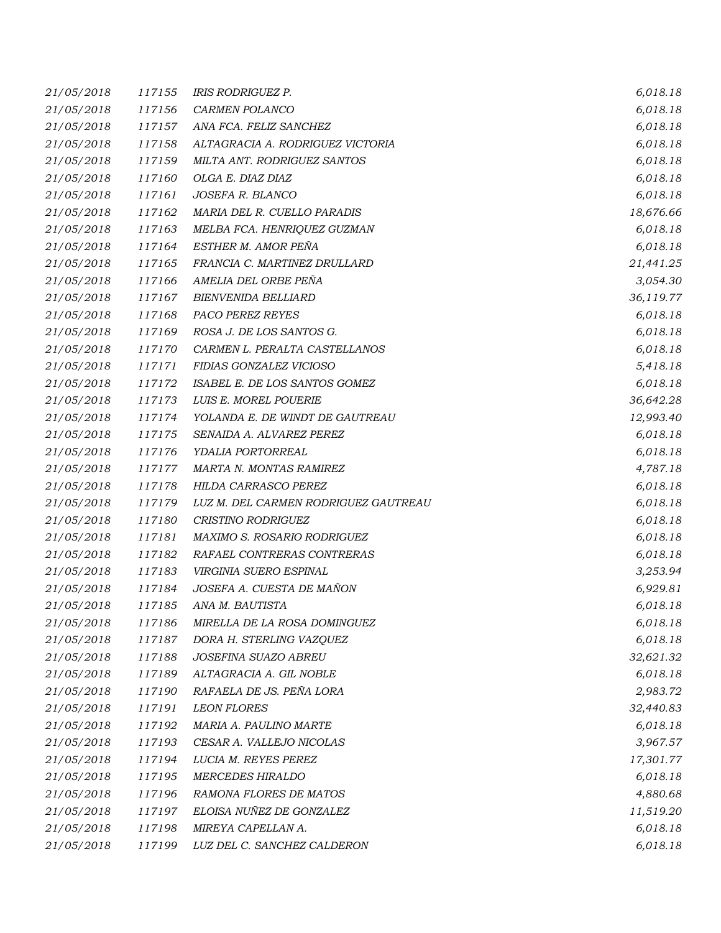| 21/05/2018 | 117155 | IRIS RODRIGUEZ P.                    | 6,018.18  |
|------------|--------|--------------------------------------|-----------|
| 21/05/2018 | 117156 | CARMEN POLANCO                       | 6,018.18  |
| 21/05/2018 | 117157 | ANA FCA. FELIZ SANCHEZ               | 6,018.18  |
| 21/05/2018 | 117158 | ALTAGRACIA A. RODRIGUEZ VICTORIA     | 6,018.18  |
| 21/05/2018 | 117159 | MILTA ANT. RODRIGUEZ SANTOS          | 6,018.18  |
| 21/05/2018 | 117160 | OLGA E. DIAZ DIAZ                    | 6,018.18  |
| 21/05/2018 | 117161 | JOSEFA R. BLANCO                     | 6,018.18  |
| 21/05/2018 | 117162 | MARIA DEL R. CUELLO PARADIS          | 18,676.66 |
| 21/05/2018 | 117163 | MELBA FCA. HENRIQUEZ GUZMAN          | 6,018.18  |
| 21/05/2018 | 117164 | ESTHER M. AMOR PEÑA                  | 6,018.18  |
| 21/05/2018 | 117165 | FRANCIA C. MARTINEZ DRULLARD         | 21,441.25 |
| 21/05/2018 | 117166 | AMELIA DEL ORBE PEÑA                 | 3,054.30  |
| 21/05/2018 | 117167 | <b>BIENVENIDA BELLIARD</b>           | 36,119.77 |
| 21/05/2018 | 117168 | PACO PEREZ REYES                     | 6,018.18  |
| 21/05/2018 | 117169 | ROSA J. DE LOS SANTOS G.             | 6,018.18  |
| 21/05/2018 | 117170 | CARMEN L. PERALTA CASTELLANOS        | 6,018.18  |
| 21/05/2018 | 117171 | FIDIAS GONZALEZ VICIOSO              | 5,418.18  |
| 21/05/2018 | 117172 | ISABEL E. DE LOS SANTOS GOMEZ        | 6,018.18  |
| 21/05/2018 | 117173 | LUIS E. MOREL POUERIE                | 36,642.28 |
| 21/05/2018 | 117174 | YOLANDA E. DE WINDT DE GAUTREAU      | 12,993.40 |
| 21/05/2018 | 117175 | SENAIDA A. ALVAREZ PEREZ             | 6,018.18  |
| 21/05/2018 | 117176 | YDALIA PORTORREAL                    | 6,018.18  |
| 21/05/2018 | 117177 | MARTA N. MONTAS RAMIREZ              | 4,787.18  |
| 21/05/2018 | 117178 | HILDA CARRASCO PEREZ                 | 6,018.18  |
| 21/05/2018 | 117179 | LUZ M. DEL CARMEN RODRIGUEZ GAUTREAU | 6,018.18  |
| 21/05/2018 | 117180 | CRISTINO RODRIGUEZ                   | 6,018.18  |
| 21/05/2018 | 117181 | MAXIMO S. ROSARIO RODRIGUEZ          | 6,018.18  |
| 21/05/2018 | 117182 | RAFAEL CONTRERAS CONTRERAS           | 6,018.18  |
| 21/05/2018 | 117183 | VIRGINIA SUERO ESPINAL               | 3,253.94  |
| 21/05/2018 | 117184 | JOSEFA A. CUESTA DE MAÑON            | 6,929.81  |
| 21/05/2018 | 117185 | ANA M. BAUTISTA                      | 6,018.18  |
| 21/05/2018 | 117186 | MIRELLA DE LA ROSA DOMINGUEZ         | 6,018.18  |
| 21/05/2018 | 117187 | DORA H. STERLING VAZQUEZ             | 6,018.18  |
| 21/05/2018 | 117188 | JOSEFINA SUAZO ABREU                 | 32,621.32 |
| 21/05/2018 | 117189 | ALTAGRACIA A. GIL NOBLE              | 6,018.18  |
| 21/05/2018 | 117190 | RAFAELA DE JS. PEÑA LORA             | 2,983.72  |
| 21/05/2018 | 117191 | <b>LEON FLORES</b>                   | 32,440.83 |
| 21/05/2018 | 117192 | MARIA A. PAULINO MARTE               | 6,018.18  |
| 21/05/2018 | 117193 | CESAR A. VALLEJO NICOLAS             | 3,967.57  |
| 21/05/2018 | 117194 | LUCIA M. REYES PEREZ                 | 17,301.77 |
| 21/05/2018 | 117195 | <b>MERCEDES HIRALDO</b>              | 6,018.18  |
| 21/05/2018 | 117196 | RAMONA FLORES DE MATOS               | 4,880.68  |
| 21/05/2018 | 117197 | ELOISA NUÑEZ DE GONZALEZ             | 11,519.20 |
| 21/05/2018 | 117198 | MIREYA CAPELLAN A.                   | 6,018.18  |
| 21/05/2018 | 117199 | LUZ DEL C. SANCHEZ CALDERON          | 6,018.18  |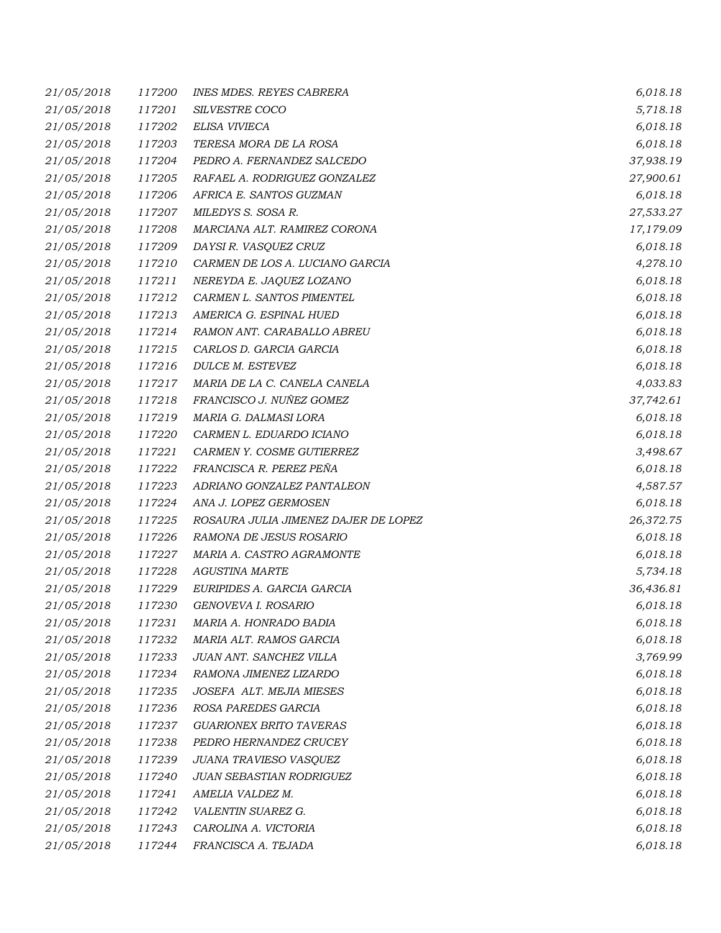| 21/05/2018 | 117200 | <b>INES MDES. REYES CABRERA</b>      | 6,018.18  |
|------------|--------|--------------------------------------|-----------|
| 21/05/2018 | 117201 | SILVESTRE COCO                       | 5,718.18  |
| 21/05/2018 | 117202 | ELISA VIVIECA                        | 6,018.18  |
| 21/05/2018 | 117203 | TERESA MORA DE LA ROSA               | 6,018.18  |
| 21/05/2018 | 117204 | PEDRO A. FERNANDEZ SALCEDO           | 37,938.19 |
| 21/05/2018 | 117205 | RAFAEL A. RODRIGUEZ GONZALEZ         | 27,900.61 |
| 21/05/2018 | 117206 | AFRICA E. SANTOS GUZMAN              | 6,018.18  |
| 21/05/2018 | 117207 | MILEDYS S. SOSA R.                   | 27,533.27 |
| 21/05/2018 | 117208 | MARCIANA ALT. RAMIREZ CORONA         | 17,179.09 |
| 21/05/2018 | 117209 | DAYSI R. VASQUEZ CRUZ                | 6,018.18  |
| 21/05/2018 | 117210 | CARMEN DE LOS A. LUCIANO GARCIA      | 4,278.10  |
| 21/05/2018 | 117211 | NEREYDA E. JAQUEZ LOZANO             | 6,018.18  |
| 21/05/2018 | 117212 | CARMEN L. SANTOS PIMENTEL            | 6,018.18  |
| 21/05/2018 | 117213 | AMERICA G. ESPINAL HUED              | 6,018.18  |
| 21/05/2018 | 117214 | RAMON ANT. CARABALLO ABREU           | 6,018.18  |
| 21/05/2018 | 117215 | CARLOS D. GARCIA GARCIA              | 6,018.18  |
| 21/05/2018 | 117216 | DULCE M. ESTEVEZ                     | 6,018.18  |
| 21/05/2018 | 117217 | MARIA DE LA C. CANELA CANELA         | 4,033.83  |
| 21/05/2018 | 117218 | FRANCISCO J. NUÑEZ GOMEZ             | 37,742.61 |
| 21/05/2018 | 117219 | MARIA G. DALMASI LORA                | 6,018.18  |
| 21/05/2018 | 117220 | CARMEN L. EDUARDO ICIANO             | 6,018.18  |
| 21/05/2018 | 117221 | CARMEN Y. COSME GUTIERREZ            | 3,498.67  |
| 21/05/2018 | 117222 | FRANCISCA R. PEREZ PEÑA              | 6,018.18  |
| 21/05/2018 | 117223 | ADRIANO GONZALEZ PANTALEON           | 4,587.57  |
| 21/05/2018 | 117224 | ANA J. LOPEZ GERMOSEN                | 6,018.18  |
| 21/05/2018 | 117225 | ROSAURA JULIA JIMENEZ DAJER DE LOPEZ | 26,372.75 |
| 21/05/2018 | 117226 | RAMONA DE JESUS ROSARIO              | 6,018.18  |
| 21/05/2018 | 117227 | MARIA A. CASTRO AGRAMONTE            | 6,018.18  |
| 21/05/2018 | 117228 | <b>AGUSTINA MARTE</b>                | 5,734.18  |
| 21/05/2018 | 117229 | EURIPIDES A. GARCIA GARCIA           | 36,436.81 |
| 21/05/2018 | 117230 | GENOVEVA I. ROSARIO                  | 6,018.18  |
| 21/05/2018 | 117231 | MARIA A. HONRADO BADIA               | 6,018.18  |
| 21/05/2018 | 117232 | MARIA ALT. RAMOS GARCIA              | 6,018.18  |
| 21/05/2018 | 117233 | JUAN ANT. SANCHEZ VILLA              | 3,769.99  |
| 21/05/2018 | 117234 | RAMONA JIMENEZ LIZARDO               | 6,018.18  |
| 21/05/2018 | 117235 | JOSEFA ALT. MEJIA MIESES             | 6,018.18  |
| 21/05/2018 | 117236 | ROSA PAREDES GARCIA                  | 6,018.18  |
| 21/05/2018 | 117237 | <b>GUARIONEX BRITO TAVERAS</b>       | 6,018.18  |
| 21/05/2018 | 117238 | PEDRO HERNANDEZ CRUCEY               | 6,018.18  |
| 21/05/2018 | 117239 | JUANA TRAVIESO VASQUEZ               | 6,018.18  |
| 21/05/2018 | 117240 | JUAN SEBASTIAN RODRIGUEZ             | 6,018.18  |
| 21/05/2018 | 117241 | AMELIA VALDEZ M.                     | 6,018.18  |
| 21/05/2018 | 117242 | VALENTIN SUAREZ G.                   | 6,018.18  |
| 21/05/2018 | 117243 | CAROLINA A. VICTORIA                 | 6,018.18  |
| 21/05/2018 | 117244 | FRANCISCA A. TEJADA                  | 6,018.18  |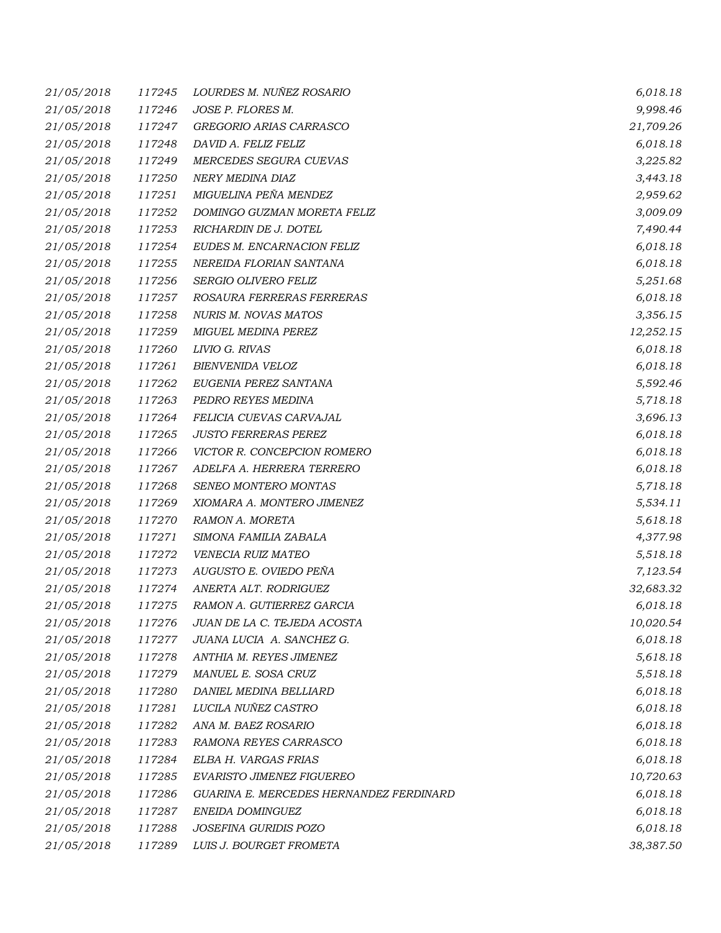| 21/05/2018 | 117245 | LOURDES M. NUÑEZ ROSARIO                | 6,018.18  |
|------------|--------|-----------------------------------------|-----------|
| 21/05/2018 | 117246 | JOSE P. FLORES M.                       | 9,998.46  |
| 21/05/2018 | 117247 | GREGORIO ARIAS CARRASCO                 | 21,709.26 |
| 21/05/2018 | 117248 | DAVID A. FELIZ FELIZ                    | 6,018.18  |
| 21/05/2018 | 117249 | MERCEDES SEGURA CUEVAS                  | 3,225.82  |
| 21/05/2018 | 117250 | NERY MEDINA DIAZ                        | 3,443.18  |
| 21/05/2018 | 117251 | MIGUELINA PEÑA MENDEZ                   | 2,959.62  |
| 21/05/2018 | 117252 | DOMINGO GUZMAN MORETA FELIZ             | 3,009.09  |
| 21/05/2018 | 117253 | RICHARDIN DE J. DOTEL                   | 7,490.44  |
| 21/05/2018 | 117254 | EUDES M. ENCARNACION FELIZ              | 6,018.18  |
| 21/05/2018 | 117255 | NEREIDA FLORIAN SANTANA                 | 6,018.18  |
| 21/05/2018 | 117256 | SERGIO OLIVERO FELIZ                    | 5,251.68  |
| 21/05/2018 | 117257 | ROSAURA FERRERAS FERRERAS               | 6,018.18  |
| 21/05/2018 | 117258 | NURIS M. NOVAS MATOS                    | 3,356.15  |
| 21/05/2018 | 117259 | <b>MIGUEL MEDINA PEREZ</b>              | 12,252.15 |
| 21/05/2018 | 117260 | LIVIO G. RIVAS                          | 6,018.18  |
| 21/05/2018 | 117261 | BIENVENIDA VELOZ                        | 6,018.18  |
| 21/05/2018 | 117262 | EUGENIA PEREZ SANTANA                   | 5,592.46  |
| 21/05/2018 | 117263 | PEDRO REYES MEDINA                      | 5,718.18  |
| 21/05/2018 | 117264 | FELICIA CUEVAS CARVAJAL                 | 3,696.13  |
| 21/05/2018 | 117265 | <b>JUSTO FERRERAS PEREZ</b>             | 6,018.18  |
| 21/05/2018 | 117266 | VICTOR R. CONCEPCION ROMERO             | 6,018.18  |
| 21/05/2018 | 117267 | ADELFA A. HERRERA TERRERO               | 6,018.18  |
| 21/05/2018 | 117268 | SENEO MONTERO MONTAS                    | 5,718.18  |
| 21/05/2018 | 117269 | XIOMARA A. MONTERO JIMENEZ              | 5,534.11  |
| 21/05/2018 | 117270 | RAMON A. MORETA                         | 5,618.18  |
| 21/05/2018 | 117271 | SIMONA FAMILIA ZABALA                   | 4,377.98  |
| 21/05/2018 | 117272 | VENECIA RUIZ MATEO                      | 5,518.18  |
| 21/05/2018 | 117273 | AUGUSTO E. OVIEDO PEÑA                  | 7,123.54  |
| 21/05/2018 | 117274 | ANERTA ALT. RODRIGUEZ                   | 32,683.32 |
| 21/05/2018 | 117275 | RAMON A. GUTIERREZ GARCIA               | 6,018.18  |
| 21/05/2018 | 117276 | JUAN DE LA C. TEJEDA ACOSTA             | 10,020.54 |
| 21/05/2018 | 117277 | JUANA LUCIA A. SANCHEZ G.               | 6,018.18  |
| 21/05/2018 | 117278 | ANTHIA M. REYES JIMENEZ                 | 5,618.18  |
| 21/05/2018 | 117279 | MANUEL E. SOSA CRUZ                     | 5,518.18  |
| 21/05/2018 | 117280 | DANIEL MEDINA BELLIARD                  | 6,018.18  |
| 21/05/2018 | 117281 | LUCILA NUÑEZ CASTRO                     | 6,018.18  |
| 21/05/2018 | 117282 | ANA M. BAEZ ROSARIO                     | 6,018.18  |
| 21/05/2018 | 117283 | RAMONA REYES CARRASCO                   | 6,018.18  |
| 21/05/2018 | 117284 | ELBA H. VARGAS FRIAS                    | 6,018.18  |
| 21/05/2018 | 117285 | EVARISTO JIMENEZ FIGUEREO               | 10,720.63 |
| 21/05/2018 | 117286 | GUARINA E. MERCEDES HERNANDEZ FERDINARD | 6,018.18  |
| 21/05/2018 | 117287 | ENEIDA DOMINGUEZ                        | 6,018.18  |
| 21/05/2018 | 117288 | JOSEFINA GURIDIS POZO                   | 6,018.18  |
| 21/05/2018 | 117289 | LUIS J. BOURGET FROMETA                 | 38,387.50 |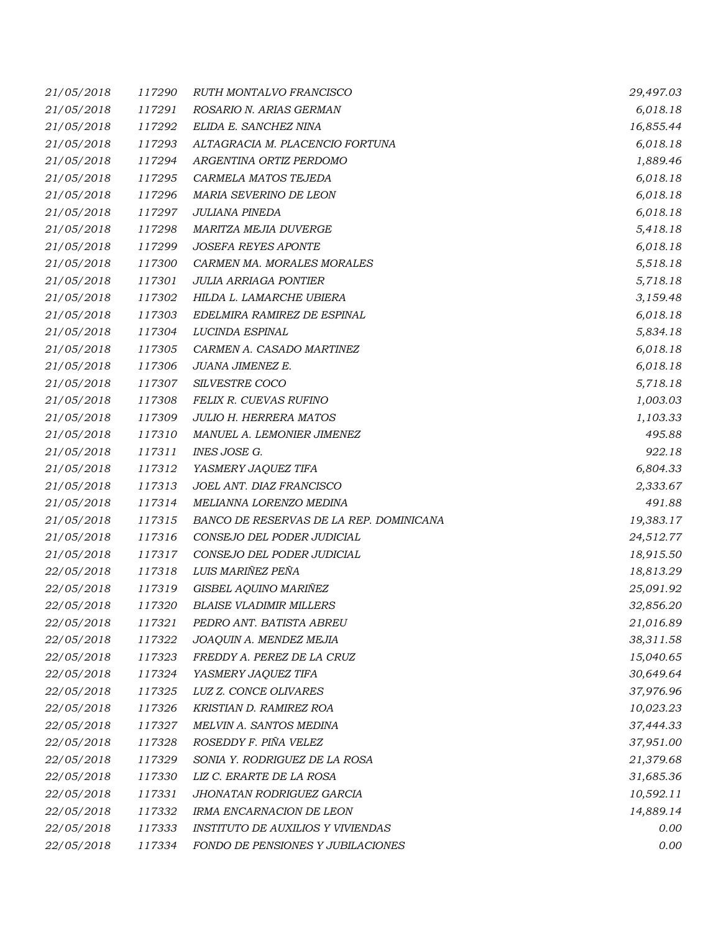| 21/05/2018 | 117290 | RUTH MONTALVO FRANCISCO                  | 29,497.03 |
|------------|--------|------------------------------------------|-----------|
| 21/05/2018 | 117291 | ROSARIO N. ARIAS GERMAN                  | 6,018.18  |
| 21/05/2018 | 117292 | ELIDA E. SANCHEZ NINA                    | 16,855.44 |
| 21/05/2018 | 117293 | ALTAGRACIA M. PLACENCIO FORTUNA          | 6,018.18  |
| 21/05/2018 | 117294 | ARGENTINA ORTIZ PERDOMO                  | 1,889.46  |
| 21/05/2018 | 117295 | CARMELA MATOS TEJEDA                     | 6,018.18  |
| 21/05/2018 | 117296 | MARIA SEVERINO DE LEON                   | 6,018.18  |
| 21/05/2018 | 117297 | <b>JULIANA PINEDA</b>                    | 6,018.18  |
| 21/05/2018 | 117298 | MARITZA MEJIA DUVERGE                    | 5,418.18  |
| 21/05/2018 | 117299 | <b>JOSEFA REYES APONTE</b>               | 6,018.18  |
| 21/05/2018 | 117300 | CARMEN MA. MORALES MORALES               | 5,518.18  |
| 21/05/2018 | 117301 | <b>JULIA ARRIAGA PONTIER</b>             | 5,718.18  |
| 21/05/2018 | 117302 | HILDA L. LAMARCHE UBIERA                 | 3,159.48  |
| 21/05/2018 | 117303 | EDELMIRA RAMIREZ DE ESPINAL              | 6,018.18  |
| 21/05/2018 | 117304 | LUCINDA ESPINAL                          | 5,834.18  |
| 21/05/2018 | 117305 | CARMEN A. CASADO MARTINEZ                | 6,018.18  |
| 21/05/2018 | 117306 | JUANA JIMENEZ E.                         | 6,018.18  |
| 21/05/2018 | 117307 | SILVESTRE COCO                           | 5,718.18  |
| 21/05/2018 | 117308 | FELIX R. CUEVAS RUFINO                   | 1,003.03  |
| 21/05/2018 | 117309 | <b>JULIO H. HERRERA MATOS</b>            | 1,103.33  |
| 21/05/2018 | 117310 | MANUEL A. LEMONIER JIMENEZ               | 495.88    |
| 21/05/2018 | 117311 | INES JOSE G.                             | 922.18    |
| 21/05/2018 | 117312 | YASMERY JAQUEZ TIFA                      | 6,804.33  |
| 21/05/2018 | 117313 | JOEL ANT. DIAZ FRANCISCO                 | 2,333.67  |
| 21/05/2018 | 117314 | MELIANNA LORENZO MEDINA                  | 491.88    |
| 21/05/2018 | 117315 | BANCO DE RESERVAS DE LA REP. DOMINICANA  | 19,383.17 |
| 21/05/2018 | 117316 | CONSEJO DEL PODER JUDICIAL               | 24,512.77 |
| 21/05/2018 | 117317 | CONSEJO DEL PODER JUDICIAL               | 18,915.50 |
| 22/05/2018 | 117318 | LUIS MARIÑEZ PEÑA                        | 18,813.29 |
| 22/05/2018 | 117319 | GISBEL AQUINO MARIÑEZ                    | 25,091.92 |
| 22/05/2018 | 117320 | <b>BLAISE VLADIMIR MILLERS</b>           | 32,856.20 |
| 22/05/2018 | 117321 | PEDRO ANT. BATISTA ABREU                 | 21,016.89 |
| 22/05/2018 | 117322 | JOAQUIN A. MENDEZ MEJIA                  | 38,311.58 |
| 22/05/2018 | 117323 | FREDDY A. PEREZ DE LA CRUZ               | 15,040.65 |
| 22/05/2018 | 117324 | YASMERY JAQUEZ TIFA                      | 30,649.64 |
| 22/05/2018 | 117325 | LUZ Z. CONCE OLIVARES                    | 37,976.96 |
| 22/05/2018 | 117326 | KRISTIAN D. RAMIREZ ROA                  | 10,023.23 |
| 22/05/2018 | 117327 | MELVIN A. SANTOS MEDINA                  | 37,444.33 |
| 22/05/2018 | 117328 | ROSEDDY F. PIÑA VELEZ                    | 37,951.00 |
| 22/05/2018 | 117329 | SONIA Y. RODRIGUEZ DE LA ROSA            | 21,379.68 |
| 22/05/2018 | 117330 | LIZ C. ERARTE DE LA ROSA                 | 31,685.36 |
| 22/05/2018 | 117331 | JHONATAN RODRIGUEZ GARCIA                | 10,592.11 |
| 22/05/2018 | 117332 | IRMA ENCARNACION DE LEON                 | 14,889.14 |
| 22/05/2018 | 117333 | <b>INSTITUTO DE AUXILIOS Y VIVIENDAS</b> | 0.00      |
| 22/05/2018 | 117334 | FONDO DE PENSIONES Y JUBILACIONES        | 0.00      |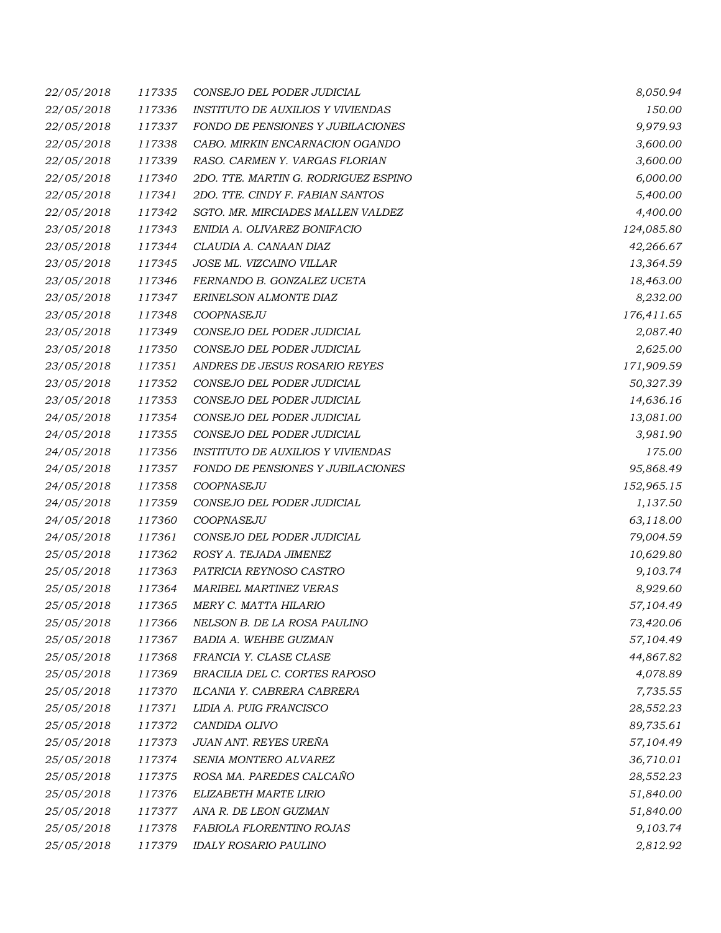| 22/05/2018 | 117335 | CONSEJO DEL PODER JUDICIAL               | 8,050.94   |
|------------|--------|------------------------------------------|------------|
| 22/05/2018 | 117336 | <b>INSTITUTO DE AUXILIOS Y VIVIENDAS</b> | 150.00     |
| 22/05/2018 | 117337 | FONDO DE PENSIONES Y JUBILACIONES        | 9,979.93   |
| 22/05/2018 | 117338 | CABO. MIRKIN ENCARNACION OGANDO          | 3,600.00   |
| 22/05/2018 | 117339 | RASO. CARMEN Y. VARGAS FLORIAN           | 3,600.00   |
| 22/05/2018 | 117340 | 2DO. TTE. MARTIN G. RODRIGUEZ ESPINO     | 6,000.00   |
| 22/05/2018 | 117341 | 2DO. TTE. CINDY F. FABIAN SANTOS         | 5,400.00   |
| 22/05/2018 | 117342 | SGTO. MR. MIRCIADES MALLEN VALDEZ        | 4,400.00   |
| 23/05/2018 | 117343 | ENIDIA A. OLIVAREZ BONIFACIO             | 124,085.80 |
| 23/05/2018 | 117344 | CLAUDIA A. CANAAN DIAZ                   | 42,266.67  |
| 23/05/2018 | 117345 | JOSE ML. VIZCAINO VILLAR                 | 13,364.59  |
| 23/05/2018 | 117346 | FERNANDO B. GONZALEZ UCETA               | 18,463.00  |
| 23/05/2018 | 117347 | ERINELSON ALMONTE DIAZ                   | 8,232.00   |
| 23/05/2018 | 117348 | COOPNASEJU                               | 176,411.65 |
| 23/05/2018 | 117349 | CONSEJO DEL PODER JUDICIAL               | 2,087.40   |
| 23/05/2018 | 117350 | CONSEJO DEL PODER JUDICIAL               | 2,625.00   |
| 23/05/2018 | 117351 | ANDRES DE JESUS ROSARIO REYES            | 171,909.59 |
| 23/05/2018 | 117352 | CONSEJO DEL PODER JUDICIAL               | 50,327.39  |
| 23/05/2018 | 117353 | CONSEJO DEL PODER JUDICIAL               | 14,636.16  |
| 24/05/2018 | 117354 | CONSEJO DEL PODER JUDICIAL               | 13,081.00  |
| 24/05/2018 | 117355 | CONSEJO DEL PODER JUDICIAL               | 3,981.90   |
| 24/05/2018 | 117356 | <b>INSTITUTO DE AUXILIOS Y VIVIENDAS</b> | 175.00     |
| 24/05/2018 | 117357 | FONDO DE PENSIONES Y JUBILACIONES        | 95,868.49  |
| 24/05/2018 | 117358 | COOPNASEJU                               | 152,965.15 |
| 24/05/2018 | 117359 | CONSEJO DEL PODER JUDICIAL               | 1,137.50   |
| 24/05/2018 | 117360 | COOPNASEJU                               | 63,118.00  |
| 24/05/2018 | 117361 | CONSEJO DEL PODER JUDICIAL               | 79,004.59  |
| 25/05/2018 | 117362 | ROSY A. TEJADA JIMENEZ                   | 10,629.80  |
| 25/05/2018 | 117363 | PATRICIA REYNOSO CASTRO                  | 9,103.74   |
| 25/05/2018 | 117364 | MARIBEL MARTINEZ VERAS                   | 8,929.60   |
| 25/05/2018 | 117365 | MERY C. MATTA HILARIO                    | 57,104.49  |
| 25/05/2018 | 117366 | NELSON B. DE LA ROSA PAULINO             | 73,420.06  |
| 25/05/2018 | 117367 | BADIA A. WEHBE GUZMAN                    | 57,104.49  |
| 25/05/2018 | 117368 | FRANCIA Y. CLASE CLASE                   | 44,867.82  |
| 25/05/2018 | 117369 | BRACILIA DEL C. CORTES RAPOSO            | 4,078.89   |
| 25/05/2018 | 117370 | ILCANIA Y. CABRERA CABRERA               | 7,735.55   |
| 25/05/2018 | 117371 | LIDIA A. PUIG FRANCISCO                  | 28,552.23  |
| 25/05/2018 | 117372 | CANDIDA OLIVO                            | 89,735.61  |
| 25/05/2018 | 117373 | JUAN ANT. REYES UREÑA                    | 57,104.49  |
| 25/05/2018 | 117374 | SENIA MONTERO ALVAREZ                    | 36,710.01  |
| 25/05/2018 | 117375 | ROSA MA. PAREDES CALCAÑO                 | 28,552.23  |
| 25/05/2018 | 117376 | ELIZABETH MARTE LIRIO                    | 51,840.00  |
| 25/05/2018 | 117377 | ANA R. DE LEON GUZMAN                    | 51,840.00  |
| 25/05/2018 | 117378 | FABIOLA FLORENTINO ROJAS                 | 9,103.74   |
| 25/05/2018 | 117379 | <b>IDALY ROSARIO PAULINO</b>             | 2,812.92   |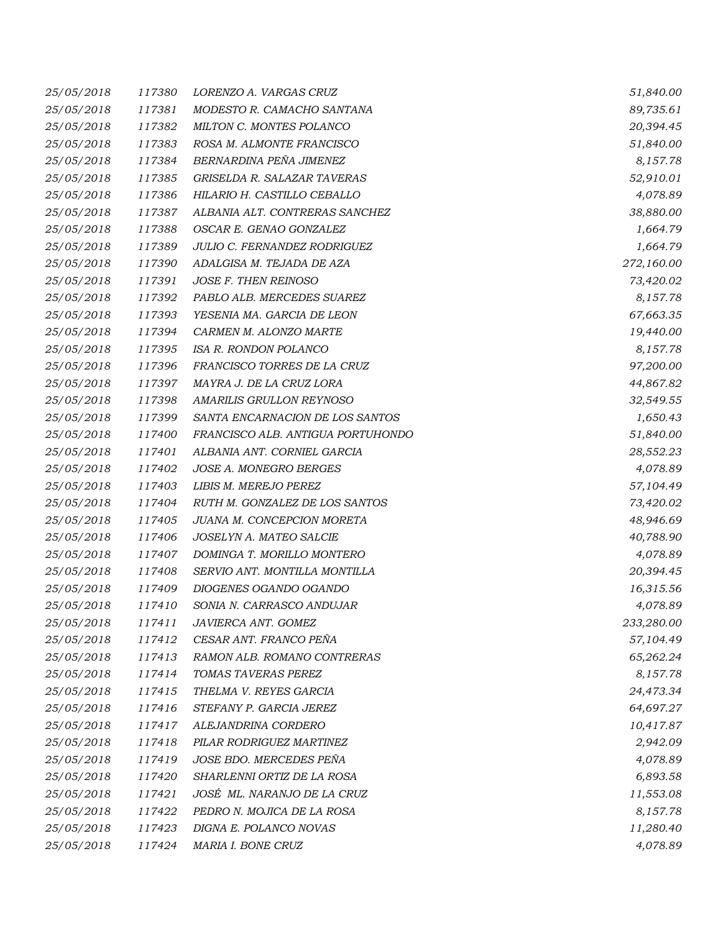| 25/05/2018 | 117380 | LORENZO A. VARGAS CRUZ            | 51,840.00  |
|------------|--------|-----------------------------------|------------|
| 25/05/2018 | 117381 | MODESTO R. CAMACHO SANTANA        | 89,735.61  |
| 25/05/2018 | 117382 | MILTON C. MONTES POLANCO          | 20,394.45  |
| 25/05/2018 | 117383 | ROSA M. ALMONTE FRANCISCO         | 51,840.00  |
| 25/05/2018 | 117384 | BERNARDINA PEÑA JIMENEZ           | 8,157.78   |
| 25/05/2018 | 117385 | GRISELDA R. SALAZAR TAVERAS       | 52,910.01  |
| 25/05/2018 | 117386 | HILARIO H. CASTILLO CEBALLO       | 4,078.89   |
| 25/05/2018 | 117387 | ALBANIA ALT. CONTRERAS SANCHEZ    | 38,880.00  |
| 25/05/2018 | 117388 | OSCAR E. GENAO GONZALEZ           | 1,664.79   |
| 25/05/2018 | 117389 | JULIO C. FERNANDEZ RODRIGUEZ      | 1,664.79   |
| 25/05/2018 | 117390 | ADALGISA M. TEJADA DE AZA         | 272,160.00 |
| 25/05/2018 | 117391 | JOSE F. THEN REINOSO              | 73,420.02  |
| 25/05/2018 | 117392 | PABLO ALB. MERCEDES SUAREZ        | 8,157.78   |
| 25/05/2018 | 117393 | YESENIA MA. GARCIA DE LEON        | 67,663.35  |
| 25/05/2018 | 117394 | CARMEN M. ALONZO MARTE            | 19,440.00  |
| 25/05/2018 | 117395 | ISA R. RONDON POLANCO             | 8,157.78   |
| 25/05/2018 | 117396 | FRANCISCO TORRES DE LA CRUZ       | 97,200.00  |
| 25/05/2018 | 117397 | MAYRA J. DE LA CRUZ LORA          | 44,867.82  |
| 25/05/2018 | 117398 | AMARILIS GRULLON REYNOSO          | 32,549.55  |
| 25/05/2018 | 117399 | SANTA ENCARNACION DE LOS SANTOS   | 1,650.43   |
| 25/05/2018 | 117400 | FRANCISCO ALB. ANTIGUA PORTUHONDO | 51,840.00  |
| 25/05/2018 | 117401 | ALBANIA ANT. CORNIEL GARCIA       | 28,552.23  |
| 25/05/2018 | 117402 | JOSE A. MONEGRO BERGES            | 4,078.89   |
| 25/05/2018 | 117403 | LIBIS M. MEREJO PEREZ             | 57,104.49  |
| 25/05/2018 | 117404 | RUTH M. GONZALEZ DE LOS SANTOS    | 73,420.02  |
| 25/05/2018 | 117405 | JUANA M. CONCEPCION MORETA        | 48,946.69  |
| 25/05/2018 | 117406 | JOSELYN A. MATEO SALCIE           | 40,788.90  |
| 25/05/2018 | 117407 | DOMINGA T. MORILLO MONTERO        | 4,078.89   |
| 25/05/2018 | 117408 | SERVIO ANT. MONTILLA MONTILLA     | 20,394.45  |
| 25/05/2018 | 117409 | DIOGENES OGANDO OGANDO            | 16,315.56  |
| 25/05/2018 | 117410 | SONIA N. CARRASCO ANDUJAR         | 4,078.89   |
| 25/05/2018 | 117411 | JAVIERCA ANT. GOMEZ               | 233,280.00 |
| 25/05/2018 | 117412 | CESAR ANT. FRANCO PEÑA            | 57,104.49  |
| 25/05/2018 | 117413 | RAMON ALB. ROMANO CONTRERAS       | 65,262.24  |
| 25/05/2018 | 117414 | TOMAS TAVERAS PEREZ               | 8,157.78   |
| 25/05/2018 | 117415 | THELMA V. REYES GARCIA            | 24,473.34  |
| 25/05/2018 | 117416 | STEFANY P. GARCIA JEREZ           | 64,697.27  |
| 25/05/2018 | 117417 | ALEJANDRINA CORDERO               | 10,417.87  |
| 25/05/2018 | 117418 | PILAR RODRIGUEZ MARTINEZ          | 2,942.09   |
| 25/05/2018 | 117419 | JOSE BDO. MERCEDES PEÑA           | 4,078.89   |
| 25/05/2018 | 117420 | SHARLENNI ORTIZ DE LA ROSA        | 6,893.58   |
| 25/05/2018 | 117421 | JOSÉ ML. NARANJO DE LA CRUZ       | 11,553.08  |
| 25/05/2018 | 117422 | PEDRO N. MOJICA DE LA ROSA        | 8,157.78   |
| 25/05/2018 | 117423 | DIGNA E. POLANCO NOVAS            | 11,280.40  |
| 25/05/2018 | 117424 | MARIA I. BONE CRUZ                | 4,078.89   |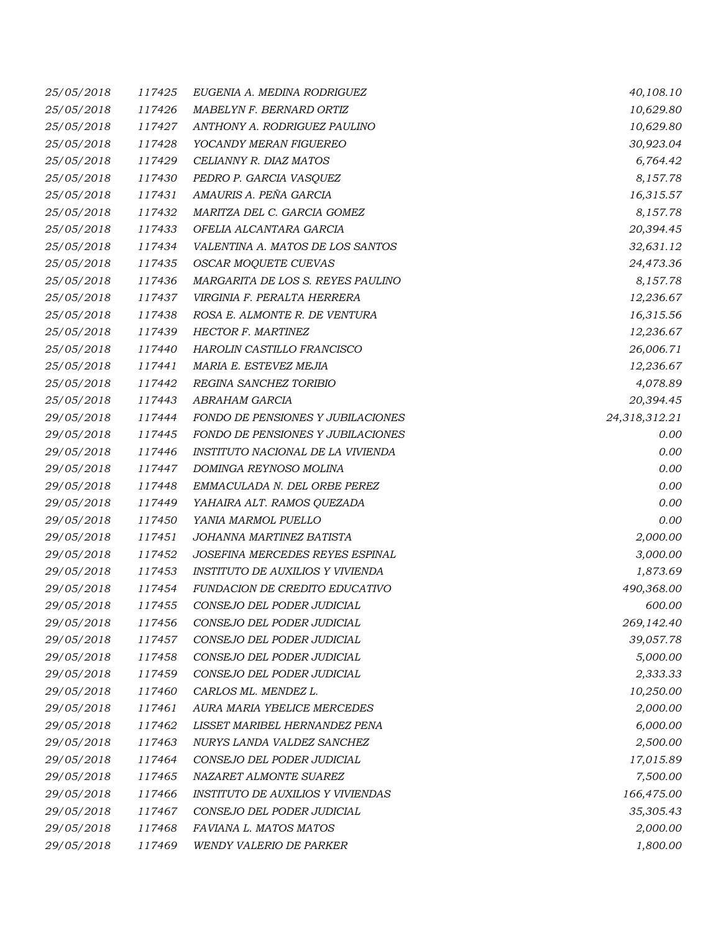| 25/05/2018 | 117425 | EUGENIA A. MEDINA RODRIGUEZ              | 40,108.10     |
|------------|--------|------------------------------------------|---------------|
| 25/05/2018 | 117426 | MABELYN F. BERNARD ORTIZ                 | 10,629.80     |
| 25/05/2018 | 117427 | ANTHONY A. RODRIGUEZ PAULINO             | 10,629.80     |
| 25/05/2018 | 117428 | YOCANDY MERAN FIGUEREO                   | 30,923.04     |
| 25/05/2018 | 117429 | CELIANNY R. DIAZ MATOS                   | 6,764.42      |
| 25/05/2018 | 117430 | PEDRO P. GARCIA VASQUEZ                  | 8,157.78      |
| 25/05/2018 | 117431 | AMAURIS A. PEÑA GARCIA                   | 16,315.57     |
| 25/05/2018 | 117432 | MARITZA DEL C. GARCIA GOMEZ              | 8,157.78      |
| 25/05/2018 | 117433 | OFELIA ALCANTARA GARCIA                  | 20,394.45     |
| 25/05/2018 | 117434 | VALENTINA A. MATOS DE LOS SANTOS         | 32,631.12     |
| 25/05/2018 | 117435 | OSCAR MOQUETE CUEVAS                     | 24,473.36     |
| 25/05/2018 | 117436 | MARGARITA DE LOS S. REYES PAULINO        | 8,157.78      |
| 25/05/2018 | 117437 | VIRGINIA F. PERALTA HERRERA              | 12,236.67     |
| 25/05/2018 | 117438 | ROSA E. ALMONTE R. DE VENTURA            | 16,315.56     |
| 25/05/2018 | 117439 | <b>HECTOR F. MARTINEZ</b>                | 12,236.67     |
| 25/05/2018 | 117440 | HAROLIN CASTILLO FRANCISCO               | 26,006.71     |
| 25/05/2018 | 117441 | MARIA E. ESTEVEZ MEJIA                   | 12,236.67     |
| 25/05/2018 | 117442 | REGINA SANCHEZ TORIBIO                   | 4,078.89      |
| 25/05/2018 | 117443 | <b>ABRAHAM GARCIA</b>                    | 20,394.45     |
| 29/05/2018 | 117444 | FONDO DE PENSIONES Y JUBILACIONES        | 24,318,312.21 |
| 29/05/2018 | 117445 | FONDO DE PENSIONES Y JUBILACIONES        | 0.00          |
| 29/05/2018 | 117446 | INSTITUTO NACIONAL DE LA VIVIENDA        | 0.00          |
| 29/05/2018 | 117447 | DOMINGA REYNOSO MOLINA                   | 0.00          |
| 29/05/2018 | 117448 | EMMACULADA N. DEL ORBE PEREZ             | 0.00          |
| 29/05/2018 | 117449 | YAHAIRA ALT. RAMOS QUEZADA               | 0.00          |
| 29/05/2018 | 117450 | YANIA MARMOL PUELLO                      | 0.00          |
| 29/05/2018 | 117451 | JOHANNA MARTINEZ BATISTA                 | 2,000.00      |
| 29/05/2018 | 117452 | JOSEFINA MERCEDES REYES ESPINAL          | 3,000.00      |
| 29/05/2018 | 117453 | INSTITUTO DE AUXILIOS Y VIVIENDA         | 1,873.69      |
| 29/05/2018 | 117454 | FUNDACION DE CREDITO EDUCATIVO           | 490,368.00    |
| 29/05/2018 | 117455 | CONSEJO DEL PODER JUDICIAL               | 600.00        |
| 29/05/2018 | 117456 | CONSEJO DEL PODER JUDICIAL               | 269,142.40    |
| 29/05/2018 | 117457 | CONSEJO DEL PODER JUDICIAL               | 39,057.78     |
| 29/05/2018 | 117458 | CONSEJO DEL PODER JUDICIAL               | 5,000.00      |
| 29/05/2018 | 117459 | CONSEJO DEL PODER JUDICIAL               | 2,333.33      |
| 29/05/2018 | 117460 | CARLOS ML. MENDEZ L.                     | 10,250.00     |
| 29/05/2018 | 117461 | AURA MARIA YBELICE MERCEDES              | 2,000.00      |
| 29/05/2018 | 117462 | LISSET MARIBEL HERNANDEZ PENA            | 6,000.00      |
| 29/05/2018 | 117463 | NURYS LANDA VALDEZ SANCHEZ               | 2,500.00      |
| 29/05/2018 | 117464 | CONSEJO DEL PODER JUDICIAL               | 17,015.89     |
| 29/05/2018 | 117465 | NAZARET ALMONTE SUAREZ                   | 7,500.00      |
| 29/05/2018 | 117466 | <b>INSTITUTO DE AUXILIOS Y VIVIENDAS</b> | 166,475.00    |
| 29/05/2018 | 117467 | CONSEJO DEL PODER JUDICIAL               | 35,305.43     |
| 29/05/2018 | 117468 | FAVIANA L. MATOS MATOS                   | 2,000.00      |
| 29/05/2018 | 117469 | WENDY VALERIO DE PARKER                  | 1,800.00      |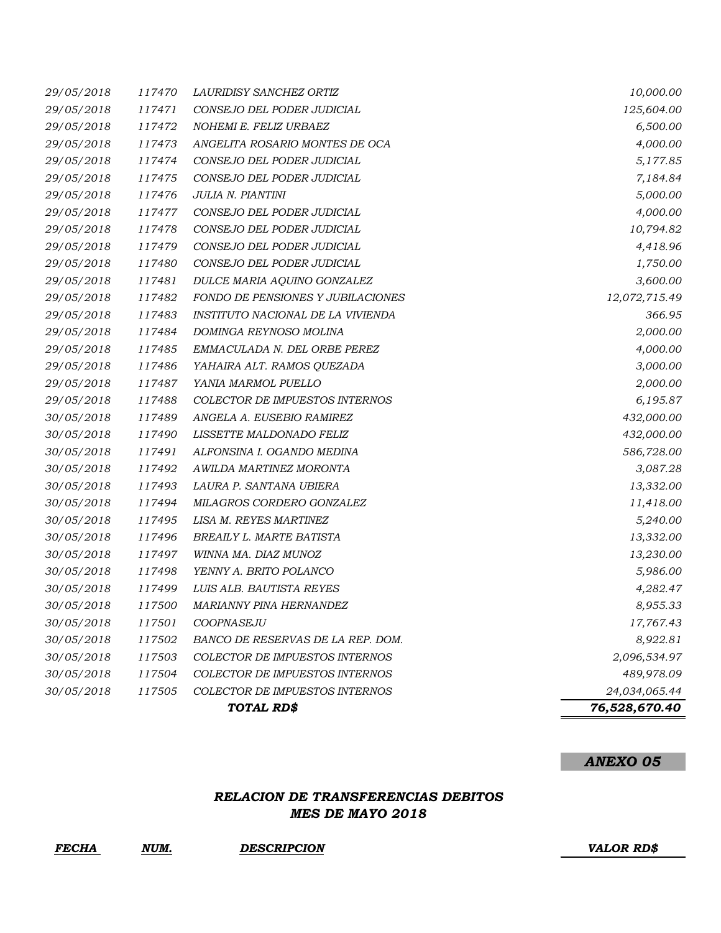|            |        | TOTAL RD\$                        | 76,528,670.40 |
|------------|--------|-----------------------------------|---------------|
| 30/05/2018 | 117505 | COLECTOR DE IMPUESTOS INTERNOS    | 24,034,065.44 |
| 30/05/2018 | 117504 | COLECTOR DE IMPUESTOS INTERNOS    | 489,978.09    |
| 30/05/2018 | 117503 | COLECTOR DE IMPUESTOS INTERNOS    | 2,096,534.97  |
| 30/05/2018 | 117502 | BANCO DE RESERVAS DE LA REP. DOM. | 8,922.81      |
| 30/05/2018 | 117501 | COOPNASEJU                        | 17,767.43     |
| 30/05/2018 | 117500 | MARIANNY PINA HERNANDEZ           | 8,955.33      |
| 30/05/2018 | 117499 | LUIS ALB. BAUTISTA REYES          | 4,282.47      |
| 30/05/2018 | 117498 | YENNY A. BRITO POLANCO            | 5,986.00      |
| 30/05/2018 | 117497 | WINNA MA. DIAZ MUNOZ              | 13,230.00     |
| 30/05/2018 | 117496 | BREAILY L. MARTE BATISTA          | 13,332.00     |
| 30/05/2018 | 117495 | LISA M. REYES MARTINEZ            | 5,240.00      |
| 30/05/2018 | 117494 | MILAGROS CORDERO GONZALEZ         | 11,418.00     |
| 30/05/2018 | 117493 | LAURA P. SANTANA UBIERA           | 13,332.00     |
| 30/05/2018 | 117492 | AWILDA MARTINEZ MORONTA           | 3,087.28      |
| 30/05/2018 | 117491 | ALFONSINA I. OGANDO MEDINA        | 586,728.00    |
| 30/05/2018 | 117490 | LISSETTE MALDONADO FELIZ          | 432,000.00    |
| 30/05/2018 | 117489 | ANGELA A. EUSEBIO RAMIREZ         | 432,000.00    |
| 29/05/2018 | 117488 | COLECTOR DE IMPUESTOS INTERNOS    | 6,195.87      |
| 29/05/2018 | 117487 | YANIA MARMOL PUELLO               | 2,000.00      |
| 29/05/2018 | 117486 | YAHAIRA ALT. RAMOS QUEZADA        | 3,000.00      |
| 29/05/2018 | 117485 | EMMACULADA N. DEL ORBE PEREZ      | 4,000.00      |
| 29/05/2018 | 117484 | DOMINGA REYNOSO MOLINA            | 2,000.00      |
| 29/05/2018 | 117483 | INSTITUTO NACIONAL DE LA VIVIENDA | 366.95        |
| 29/05/2018 | 117482 | FONDO DE PENSIONES Y JUBILACIONES | 12,072,715.49 |
| 29/05/2018 | 117481 | DULCE MARIA AQUINO GONZALEZ       | 3,600.00      |
| 29/05/2018 | 117480 | CONSEJO DEL PODER JUDICIAL        | 1,750.00      |
| 29/05/2018 | 117479 | CONSEJO DEL PODER JUDICIAL        | 4,418.96      |
| 29/05/2018 | 117478 | CONSEJO DEL PODER JUDICIAL        | 10,794.82     |
| 29/05/2018 | 117477 | CONSEJO DEL PODER JUDICIAL        | 4,000.00      |
| 29/05/2018 | 117476 | JULIA N. PIANTINI                 | 5,000.00      |
| 29/05/2018 | 117475 | CONSEJO DEL PODER JUDICIAL        | 7,184.84      |
| 29/05/2018 | 117474 | CONSEJO DEL PODER JUDICIAL        | 5,177.85      |
| 29/05/2018 | 117473 | ANGELITA ROSARIO MONTES DE OCA    | 4,000.00      |
| 29/05/2018 | 117472 | NOHEMI E. FELIZ URBAEZ            | 6,500.00      |
| 29/05/2018 | 117471 | CONSEJO DEL PODER JUDICIAL        | 125,604.00    |
| 29/05/2018 | 117470 | LAURIDISY SANCHEZ ORTIZ           | 10,000.00     |

### *ANEXO 05*

## *RELACION DE TRANSFERENCIAS DEBITOS MES DE MAYO 2018*

*FECHA NUM. DESCRIPCION VALOR RD\$*